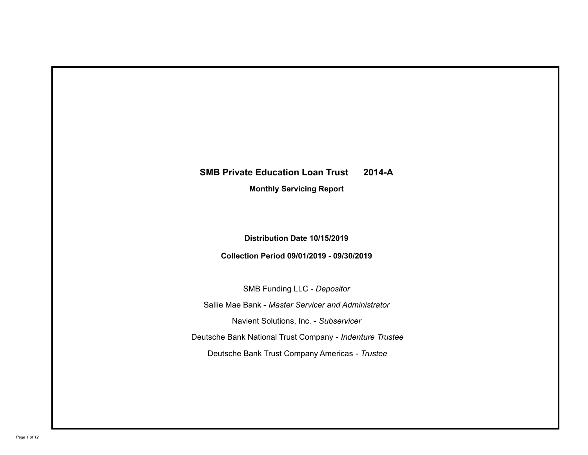# **SMB Private Education Loan Trust 2014-A**

**Monthly Servicing Report**

**Distribution Date 10/15/2019**

**Collection Period 09/01/2019 - 09/30/2019**

SMB Funding LLC - *Depositor* Sallie Mae Bank - *Master Servicer and Administrator* Deutsche Bank National Trust Company - *Indenture Trustee* Deutsche Bank Trust Company Americas - *Trustee* Navient Solutions, Inc. - *Subservicer*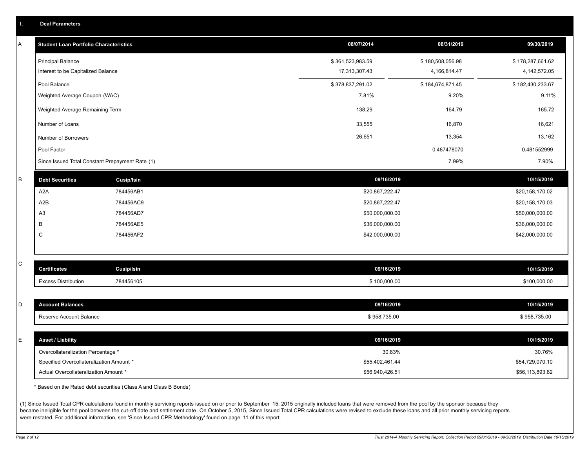|   | <b>Deal Parameters</b>                          |                                                                  |                  |                  |                  |
|---|-------------------------------------------------|------------------------------------------------------------------|------------------|------------------|------------------|
| A | <b>Student Loan Portfolio Characteristics</b>   |                                                                  | 08/07/2014       | 08/31/2019       | 09/30/2019       |
|   | <b>Principal Balance</b>                        |                                                                  | \$361,523,983.59 | \$180,508,056.98 | \$178,287,661.62 |
|   | Interest to be Capitalized Balance              |                                                                  | 17,313,307.43    | 4,166,814.47     | 4,142,572.05     |
|   | Pool Balance                                    |                                                                  | \$378,837,291.02 | \$184,674,871.45 | \$182,430,233.67 |
|   | Weighted Average Coupon (WAC)                   |                                                                  | 7.81%            | 9.20%            | 9.11%            |
|   | Weighted Average Remaining Term                 |                                                                  | 138.29           | 164.79           | 165.72           |
|   | Number of Loans                                 |                                                                  | 33,555           | 16,870           | 16,621           |
|   | Number of Borrowers                             |                                                                  | 26,651           | 13,354           | 13,162           |
|   | Pool Factor                                     |                                                                  |                  | 0.487478070      | 0.481552999      |
|   | Since Issued Total Constant Prepayment Rate (1) |                                                                  |                  | 7.99%            | 7.90%            |
| B | <b>Debt Securities</b>                          | <b>Cusip/Isin</b>                                                | 09/16/2019       |                  | 10/15/2019       |
|   | A <sub>2</sub> A                                | 784456AB1                                                        | \$20,867,222.47  |                  | \$20,158,170.02  |
|   | A2B                                             | 784456AC9                                                        | \$20,867,222.47  |                  | \$20,158,170.03  |
|   | A <sub>3</sub>                                  | 784456AD7                                                        | \$50,000,000.00  |                  | \$50,000,000.00  |
|   | B                                               | 784456AE5                                                        | \$36,000,000.00  |                  | \$36,000,000.00  |
|   | C                                               | 784456AF2                                                        | \$42,000,000.00  |                  | \$42,000,000.00  |
|   |                                                 |                                                                  |                  |                  |                  |
| С | <b>Certificates</b>                             | <b>Cusip/Isin</b>                                                | 09/16/2019       |                  | 10/15/2019       |
|   | <b>Excess Distribution</b>                      | 784456105                                                        | \$100,000.00     |                  | \$100,000.00     |
|   |                                                 |                                                                  |                  |                  |                  |
| D | <b>Account Balances</b>                         |                                                                  | 09/16/2019       |                  | 10/15/2019       |
|   | Reserve Account Balance                         |                                                                  | \$958,735.00     |                  | \$958,735.00     |
|   |                                                 |                                                                  |                  |                  |                  |
| E | <b>Asset / Liability</b>                        |                                                                  | 09/16/2019       |                  | 10/15/2019       |
|   | Overcollateralization Percentage *              |                                                                  | 30.83%           |                  | 30.76%           |
|   | Specified Overcollateralization Amount *        |                                                                  | \$55,402,461.44  |                  | \$54,729,070.10  |
|   | Actual Overcollateralization Amount *           |                                                                  | \$56,940,426.51  |                  | \$56,113,893.62  |
|   |                                                 | * Based on the Rated debt securities (Class A and Class B Bonds) |                  |                  |                  |

(1) Since Issued Total CPR calculations found in monthly servicing reports issued on or prior to September 15, 2015 originally included loans that were removed from the pool by the sponsor because they became ineligible for the pool between the cut-off date and settlement date. On October 5, 2015, Since Issued Total CPR calculations were revised to exclude these loans and all prior monthly servicing reports were restated. For additional information, see 'Since Issued CPR Methodology' found on page 11 of this report.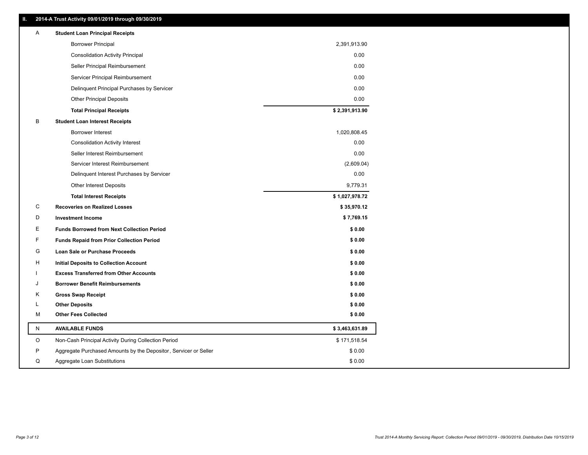| ш. |   | 2014-A Trust Activity 09/01/2019 through 09/30/2019              |                |
|----|---|------------------------------------------------------------------|----------------|
|    | Α | <b>Student Loan Principal Receipts</b>                           |                |
|    |   | <b>Borrower Principal</b>                                        | 2,391,913.90   |
|    |   | <b>Consolidation Activity Principal</b>                          | 0.00           |
|    |   | Seller Principal Reimbursement                                   | 0.00           |
|    |   | Servicer Principal Reimbursement                                 | 0.00           |
|    |   | Delinquent Principal Purchases by Servicer                       | 0.00           |
|    |   | <b>Other Principal Deposits</b>                                  | 0.00           |
|    |   | <b>Total Principal Receipts</b>                                  | \$2,391,913.90 |
|    | В | <b>Student Loan Interest Receipts</b>                            |                |
|    |   | Borrower Interest                                                | 1,020,808.45   |
|    |   | <b>Consolidation Activity Interest</b>                           | 0.00           |
|    |   | Seller Interest Reimbursement                                    | 0.00           |
|    |   | Servicer Interest Reimbursement                                  | (2,609.04)     |
|    |   | Delinquent Interest Purchases by Servicer                        | 0.00           |
|    |   | <b>Other Interest Deposits</b>                                   | 9,779.31       |
|    |   | <b>Total Interest Receipts</b>                                   | \$1,027,978.72 |
|    | С | <b>Recoveries on Realized Losses</b>                             | \$35,970.12    |
|    | D | <b>Investment Income</b>                                         | \$7,769.15     |
|    | Е | <b>Funds Borrowed from Next Collection Period</b>                | \$0.00         |
|    | F | <b>Funds Repaid from Prior Collection Period</b>                 | \$0.00         |
|    | G | Loan Sale or Purchase Proceeds                                   | \$0.00         |
|    | н | Initial Deposits to Collection Account                           | \$0.00         |
|    |   | <b>Excess Transferred from Other Accounts</b>                    | \$0.00         |
|    | J | <b>Borrower Benefit Reimbursements</b>                           | \$0.00         |
|    | Κ | <b>Gross Swap Receipt</b>                                        | \$0.00         |
|    | L | <b>Other Deposits</b>                                            | \$0.00         |
|    | М | <b>Other Fees Collected</b>                                      | \$0.00         |
|    | N | <b>AVAILABLE FUNDS</b>                                           | \$3,463,631.89 |
|    | O | Non-Cash Principal Activity During Collection Period             | \$171,518.54   |
|    |   |                                                                  |                |
|    | P | Aggregate Purchased Amounts by the Depositor, Servicer or Seller | \$0.00         |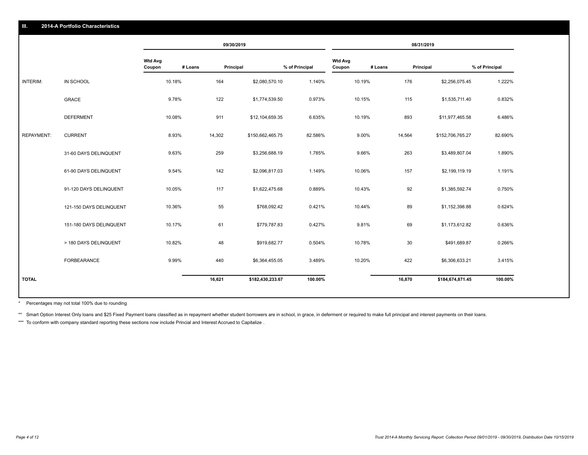|                   |                         |                                     | 09/30/2019 |                  |                |                          |         | 08/31/2019 |                  |                |
|-------------------|-------------------------|-------------------------------------|------------|------------------|----------------|--------------------------|---------|------------|------------------|----------------|
|                   |                         | <b>Wtd Avg</b><br># Loans<br>Coupon | Principal  |                  | % of Principal | <b>Wtd Avg</b><br>Coupon | # Loans | Principal  |                  | % of Principal |
| INTERIM:          | IN SCHOOL               | 10.18%                              | 164        | \$2,080,570.10   | 1.140%         | 10.19%                   |         | 176        | \$2,256,075.45   | 1.222%         |
|                   | <b>GRACE</b>            | 9.78%                               | 122        | \$1,774,539.50   | 0.973%         | 10.15%                   |         | 115        | \$1,535,711.40   | 0.832%         |
|                   | <b>DEFERMENT</b>        | 10.08%                              | 911        | \$12,104,659.35  | 6.635%         | 10.19%                   |         | 893        | \$11,977,465.58  | 6.486%         |
| <b>REPAYMENT:</b> | <b>CURRENT</b>          | 8.93%                               | 14,302     | \$150,662,465.75 | 82.586%        | 9.00%                    |         | 14,564     | \$152,706,765.27 | 82.690%        |
|                   | 31-60 DAYS DELINQUENT   | 9.63%                               | 259        | \$3,256,688.19   | 1.785%         | 9.66%                    |         | 263        | \$3,489,807.04   | 1.890%         |
|                   | 61-90 DAYS DELINQUENT   | 9.54%                               | 142        | \$2,096,817.03   | 1.149%         | 10.06%                   |         | 157        | \$2,199,119.19   | 1.191%         |
|                   | 91-120 DAYS DELINQUENT  | 10.05%                              | 117        | \$1,622,475.68   | 0.889%         | 10.43%                   |         | 92         | \$1,385,592.74   | 0.750%         |
|                   | 121-150 DAYS DELINQUENT | 10.36%                              | 55         | \$768,092.42     | 0.421%         | 10.44%                   |         | 89         | \$1,152,398.88   | 0.624%         |
|                   | 151-180 DAYS DELINQUENT | 10.17%                              | 61         | \$779,787.83     | 0.427%         | 9.81%                    |         | 69         | \$1,173,612.82   | 0.636%         |
|                   | > 180 DAYS DELINQUENT   | 10.82%                              | 48         | \$919,682.77     | 0.504%         | 10.78%                   |         | 30         | \$491,689.87     | 0.266%         |
|                   | <b>FORBEARANCE</b>      | 9.99%                               | 440        | \$6,364,455.05   | 3.489%         | 10.20%                   |         | 422        | \$6,306,633.21   | 3.415%         |
| <b>TOTAL</b>      |                         |                                     | 16,621     | \$182,430,233.67 | 100.00%        |                          |         | 16,870     | \$184,674,871.45 | 100.00%        |

Percentages may not total 100% due to rounding \*

\*\* Smart Option Interest Only loans and \$25 Fixed Payment loans classified as in repayment whether student borrowers are in school, in grace, in deferment or required to make full principal and interest payments on their l

\*\*\* To conform with company standard reporting these sections now include Princial and Interest Accrued to Capitalize.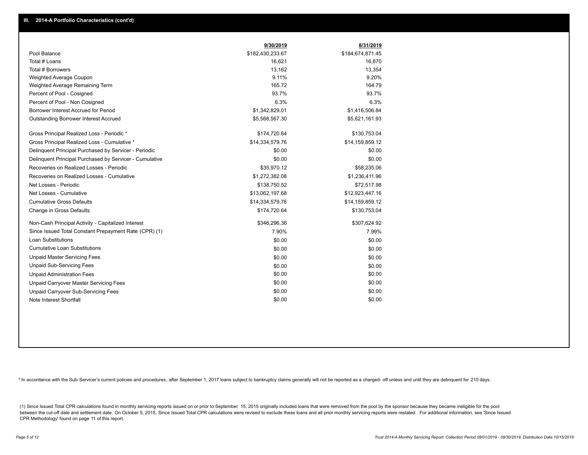|                                                         | 9/30/2019        | 8/31/2019        |
|---------------------------------------------------------|------------------|------------------|
| Pool Balance                                            | \$182,430,233.67 | \$184,674,871.45 |
| Total # Loans                                           | 16,621           | 16,870           |
| Total # Borrowers                                       | 13,162           | 13,354           |
| Weighted Average Coupon                                 | 9.11%            | 9.20%            |
| Weighted Average Remaining Term                         | 165.72           | 164.79           |
| Percent of Pool - Cosigned                              | 93.7%            | 93.7%            |
| Percent of Pool - Non Cosigned                          | 6.3%             | 6.3%             |
| Borrower Interest Accrued for Period                    | \$1,342,829.01   | \$1,416,506.84   |
| Outstanding Borrower Interest Accrued                   | \$5,568,567.30   | \$5,621,161.93   |
| Gross Principal Realized Loss - Periodic *              | \$174,720.64     | \$130,753.04     |
| Gross Principal Realized Loss - Cumulative *            | \$14,334,579.76  | \$14,159,859.12  |
| Delinquent Principal Purchased by Servicer - Periodic   | \$0.00           | \$0.00           |
| Delinquent Principal Purchased by Servicer - Cumulative | \$0.00           | \$0.00           |
| Recoveries on Realized Losses - Periodic                | \$35,970.12      | \$58,235.06      |
| Recoveries on Realized Losses - Cumulative              | \$1,272,382.08   | \$1,236,411.96   |
| Net Losses - Periodic                                   | \$138,750.52     | \$72,517.98      |
| Net Losses - Cumulative                                 | \$13,062,197.68  | \$12,923,447.16  |
| <b>Cumulative Gross Defaults</b>                        | \$14,334,579.76  | \$14,159,859.12  |
| Change in Gross Defaults                                | \$174,720.64     | \$130,753.04     |
| Non-Cash Principal Activity - Capitalized Interest      | \$346,296.36     | \$307,624.92     |
| Since Issued Total Constant Prepayment Rate (CPR) (1)   | 7.90%            | 7.99%            |
| <b>Loan Substitutions</b>                               | \$0.00           | \$0.00           |
| <b>Cumulative Loan Substitutions</b>                    | \$0.00           | \$0.00           |
| <b>Unpaid Master Servicing Fees</b>                     | \$0.00           | \$0.00           |
| <b>Unpaid Sub-Servicing Fees</b>                        | \$0.00           | \$0.00           |
| <b>Unpaid Administration Fees</b>                       | \$0.00           | \$0.00           |
| Unpaid Carryover Master Servicing Fees                  | \$0.00           | \$0.00           |
| Unpaid Carryover Sub-Servicing Fees                     | \$0.00           | \$0.00           |
| Note Interest Shortfall                                 | \$0.00           | \$0.00           |

\* In accordance with the Sub-Servicer's current policies and procedures, after September 1, 2017 loans subject to bankruptcy claims generally will not be reported as a charged- off unless and until they are delinquent for

(1) Since Issued Total CPR calculations found in monthly servicing reports issued on or prior to September 15, 2015 originally included loans that were removed from the pool by the sponsor because they became ineligible fo between the cut-off date and settlement date. On October 5, 2015, Since Issued Total CPR calculations were revised to exclude these loans and all prior monthly servicing reports were restated. For additional information, s CPR Methodology' found on page 11 of this report.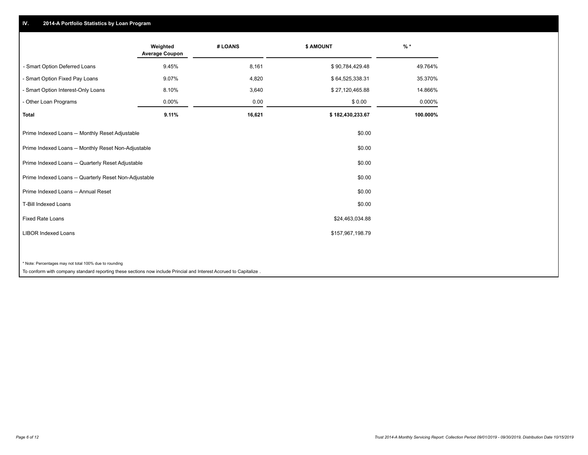## **IV. 2014-A Portfolio Statistics by Loan Program**

| 9.45% |                                                                                                                    |                  |          |
|-------|--------------------------------------------------------------------------------------------------------------------|------------------|----------|
|       | 8,161                                                                                                              | \$90,784,429.48  | 49.764%  |
| 9.07% | 4,820                                                                                                              | \$64,525,338.31  | 35.370%  |
| 8.10% | 3,640                                                                                                              | \$27,120,465.88  | 14.866%  |
| 0.00% | 0.00                                                                                                               | \$0.00           | 0.000%   |
| 9.11% | 16,621                                                                                                             | \$182,430,233.67 | 100.000% |
|       |                                                                                                                    | \$0.00           |          |
|       |                                                                                                                    | \$0.00           |          |
|       |                                                                                                                    | \$0.00           |          |
|       |                                                                                                                    | \$0.00           |          |
|       |                                                                                                                    | \$0.00           |          |
|       |                                                                                                                    | \$0.00           |          |
|       |                                                                                                                    | \$24,463,034.88  |          |
|       |                                                                                                                    | \$157,967,198.79 |          |
|       |                                                                                                                    |                  |          |
|       | To conform with company standard reporting these sections now include Princial and Interest Accrued to Capitalize. |                  |          |
|       |                                                                                                                    |                  |          |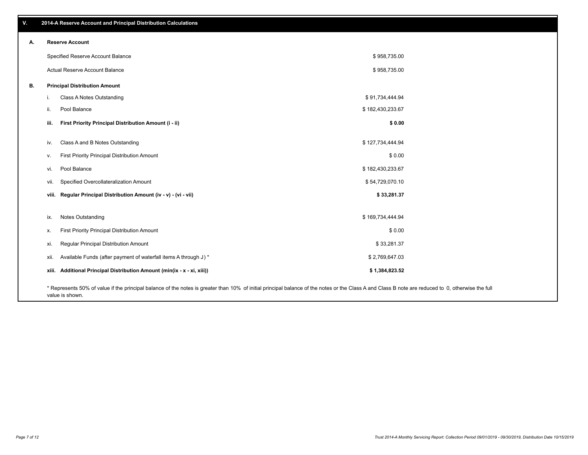| Α. |       | <b>Reserve Account</b>                                                                                                                                                                             |                  |  |
|----|-------|----------------------------------------------------------------------------------------------------------------------------------------------------------------------------------------------------|------------------|--|
|    |       | Specified Reserve Account Balance                                                                                                                                                                  | \$958,735.00     |  |
|    |       | Actual Reserve Account Balance                                                                                                                                                                     | \$958,735.00     |  |
| В. |       | <b>Principal Distribution Amount</b>                                                                                                                                                               |                  |  |
|    | j.    | Class A Notes Outstanding                                                                                                                                                                          | \$91,734,444.94  |  |
|    | ii.   | Pool Balance                                                                                                                                                                                       | \$182,430,233.67 |  |
|    | iii.  | First Priority Principal Distribution Amount (i - ii)                                                                                                                                              | \$0.00           |  |
|    |       | Class A and B Notes Outstanding                                                                                                                                                                    | \$127,734,444.94 |  |
|    | iv.   |                                                                                                                                                                                                    |                  |  |
|    | v.    | First Priority Principal Distribution Amount                                                                                                                                                       | \$0.00           |  |
|    | vi.   | Pool Balance                                                                                                                                                                                       | \$182,430,233.67 |  |
|    | Vii.  | Specified Overcollateralization Amount                                                                                                                                                             | \$54,729,070.10  |  |
|    | VIII. | Regular Principal Distribution Amount (iv - v) - (vi - vii)                                                                                                                                        | \$33,281.37      |  |
|    |       |                                                                                                                                                                                                    |                  |  |
|    | ix.   | Notes Outstanding                                                                                                                                                                                  | \$169,734,444.94 |  |
|    | х.    | First Priority Principal Distribution Amount                                                                                                                                                       | \$0.00           |  |
|    | xi.   | Regular Principal Distribution Amount                                                                                                                                                              | \$33,281.37      |  |
|    | xii.  | Available Funds (after payment of waterfall items A through J) *                                                                                                                                   | \$2,769,647.03   |  |
|    | XIII. | Additional Principal Distribution Amount (min(ix - x - xi, xiii))                                                                                                                                  | \$1,384,823.52   |  |
|    |       | * Represents 50% of value if the principal balance of the notes is greater than 10% of initial principal balance of the notes or the Class A and Class B note are reduced to 0, otherwise the full |                  |  |

value is shown.

## **V. 2014-A Reserve Account and Principal Distribution Calculations**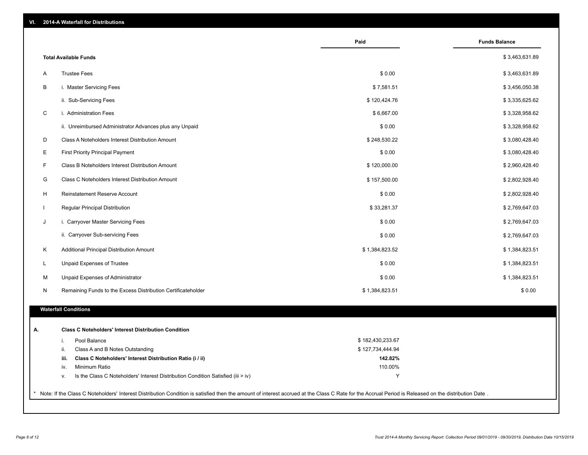| VI. |  |  | <b>2014-A Waterfall for Distributions</b> |
|-----|--|--|-------------------------------------------|
|-----|--|--|-------------------------------------------|

|                                                                                                                                                                                                     | Paid             | <b>Funds Balance</b> |
|-----------------------------------------------------------------------------------------------------------------------------------------------------------------------------------------------------|------------------|----------------------|
| <b>Total Available Funds</b>                                                                                                                                                                        |                  | \$3,463,631.89       |
| <b>Trustee Fees</b><br>Α                                                                                                                                                                            | \$0.00           | \$3,463,631.89       |
| B<br>i. Master Servicing Fees                                                                                                                                                                       | \$7,581.51       | \$3,456,050.38       |
| ii. Sub-Servicing Fees                                                                                                                                                                              | \$120,424.76     | \$3,335,625.62       |
| C<br>i. Administration Fees                                                                                                                                                                         | \$6,667.00       | \$3,328,958.62       |
| ii. Unreimbursed Administrator Advances plus any Unpaid                                                                                                                                             | \$0.00           | \$3,328,958.62       |
| D<br>Class A Noteholders Interest Distribution Amount                                                                                                                                               | \$248,530.22     | \$3,080,428.40       |
| Ε<br><b>First Priority Principal Payment</b>                                                                                                                                                        | \$0.00           | \$3,080,428.40       |
| F<br>Class B Noteholders Interest Distribution Amount                                                                                                                                               | \$120,000.00     | \$2,960,428.40       |
| G<br>Class C Noteholders Interest Distribution Amount                                                                                                                                               | \$157,500.00     | \$2,802,928.40       |
| H<br>Reinstatement Reserve Account                                                                                                                                                                  | \$0.00           | \$2,802,928.40       |
| $\mathbf{I}$<br>Regular Principal Distribution                                                                                                                                                      | \$33,281.37      | \$2,769,647.03       |
| i. Carryover Master Servicing Fees<br>J                                                                                                                                                             | \$0.00           | \$2,769,647.03       |
| ii. Carryover Sub-servicing Fees                                                                                                                                                                    | \$0.00           | \$2,769,647.03       |
| Κ<br>Additional Principal Distribution Amount                                                                                                                                                       | \$1,384,823.52   | \$1,384,823.51       |
| L<br>Unpaid Expenses of Trustee                                                                                                                                                                     | \$0.00           | \$1,384,823.51       |
| M<br>Unpaid Expenses of Administrator                                                                                                                                                               | \$0.00           | \$1,384,823.51       |
| N<br>Remaining Funds to the Excess Distribution Certificateholder                                                                                                                                   | \$1,384,823.51   | \$0.00               |
|                                                                                                                                                                                                     |                  |                      |
| <b>Waterfall Conditions</b>                                                                                                                                                                         |                  |                      |
| <b>Class C Noteholders' Interest Distribution Condition</b>                                                                                                                                         |                  |                      |
| Pool Balance<br>i.                                                                                                                                                                                  | \$182,430,233.67 |                      |
| ii.<br>Class A and B Notes Outstanding                                                                                                                                                              | \$127,734,444.94 |                      |
| Class C Noteholders' Interest Distribution Ratio (i / ii)<br>iii.                                                                                                                                   | 142.82%          |                      |
| Minimum Ratio<br>iv.                                                                                                                                                                                | 110.00%          |                      |
| Is the Class C Noteholders' Interest Distribution Condition Satisfied (iii > iv)<br>۷.                                                                                                              | Υ                |                      |
| Note: If the Class C Noteholders' Interest Distribution Condition is satisfied then the amount of interest accrued at the Class C Rate for the Accrual Period is Released on the distribution Date. |                  |                      |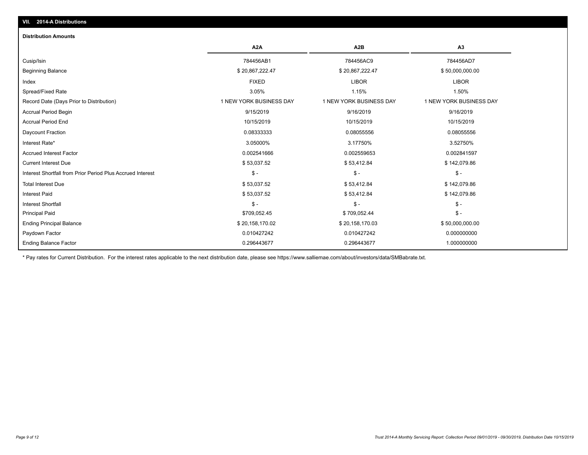## **VII. 2014-A Distributions**

#### **Distribution Amounts**

|                                                            | A2A                     | A <sub>2</sub> B        | A <sub>3</sub>          |
|------------------------------------------------------------|-------------------------|-------------------------|-------------------------|
| Cusip/Isin                                                 | 784456AB1               | 784456AC9               | 784456AD7               |
| <b>Beginning Balance</b>                                   | \$20,867,222.47         | \$20,867,222.47         | \$50,000,000.00         |
| Index                                                      | <b>FIXED</b>            | <b>LIBOR</b>            | <b>LIBOR</b>            |
| Spread/Fixed Rate                                          | 3.05%                   | 1.15%                   | 1.50%                   |
| Record Date (Days Prior to Distribution)                   | 1 NEW YORK BUSINESS DAY | 1 NEW YORK BUSINESS DAY | 1 NEW YORK BUSINESS DAY |
| <b>Accrual Period Begin</b>                                | 9/15/2019               | 9/16/2019               | 9/16/2019               |
| <b>Accrual Period End</b>                                  | 10/15/2019              | 10/15/2019              | 10/15/2019              |
| Daycount Fraction                                          | 0.08333333              | 0.08055556              | 0.08055556              |
| Interest Rate*                                             | 3.05000%                | 3.17750%                | 3.52750%                |
| <b>Accrued Interest Factor</b>                             | 0.002541666             | 0.002559653             | 0.002841597             |
| <b>Current Interest Due</b>                                | \$53,037.52             | \$53,412.84             | \$142,079.86            |
| Interest Shortfall from Prior Period Plus Accrued Interest | $$ -$                   | $$ -$                   | $\mathsf{\$}$ -         |
| <b>Total Interest Due</b>                                  | \$53,037.52             | \$53,412.84             | \$142,079.86            |
| <b>Interest Paid</b>                                       | \$53,037.52             | \$53,412.84             | \$142,079.86            |
| <b>Interest Shortfall</b>                                  | \$ -                    | $$ -$                   | $$ -$                   |
| <b>Principal Paid</b>                                      | \$709,052.45            | \$709,052.44            | $\frac{1}{2}$           |
| <b>Ending Principal Balance</b>                            | \$20,158,170.02         | \$20,158,170.03         | \$50,000,000.00         |
| Paydown Factor                                             | 0.010427242             | 0.010427242             | 0.000000000             |
| <b>Ending Balance Factor</b>                               | 0.296443677             | 0.296443677             | 1.000000000             |

\* Pay rates for Current Distribution. For the interest rates applicable to the next distribution date, please see https://www.salliemae.com/about/investors/data/SMBabrate.txt.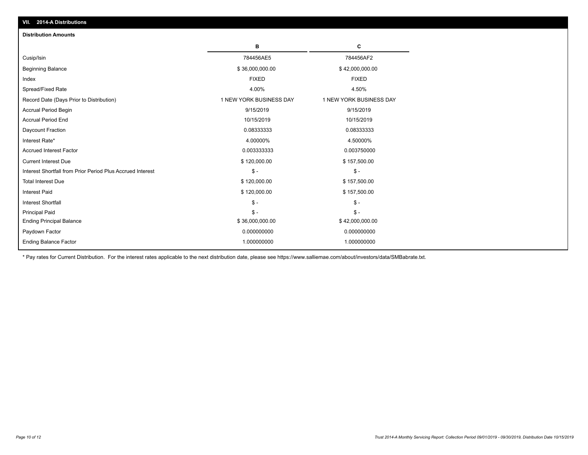| <b>Distribution Amounts</b>                                |                         |                         |
|------------------------------------------------------------|-------------------------|-------------------------|
|                                                            | в                       | c                       |
| Cusip/Isin                                                 | 784456AE5               | 784456AF2               |
| <b>Beginning Balance</b>                                   | \$36,000,000.00         | \$42,000,000.00         |
| Index                                                      | <b>FIXED</b>            | <b>FIXED</b>            |
| Spread/Fixed Rate                                          | 4.00%                   | 4.50%                   |
| Record Date (Days Prior to Distribution)                   | 1 NEW YORK BUSINESS DAY | 1 NEW YORK BUSINESS DAY |
| <b>Accrual Period Begin</b>                                | 9/15/2019               | 9/15/2019               |
| <b>Accrual Period End</b>                                  | 10/15/2019              | 10/15/2019              |
| Daycount Fraction                                          | 0.08333333              | 0.08333333              |
| Interest Rate*                                             | 4.00000%                | 4.50000%                |
| <b>Accrued Interest Factor</b>                             | 0.003333333             | 0.003750000             |
| <b>Current Interest Due</b>                                | \$120,000.00            | \$157,500.00            |
| Interest Shortfall from Prior Period Plus Accrued Interest | $\frac{1}{2}$           | $\mathsf{\$}$ -         |
| <b>Total Interest Due</b>                                  | \$120,000.00            | \$157,500.00            |
| <b>Interest Paid</b>                                       | \$120,000.00            | \$157,500.00            |
| <b>Interest Shortfall</b>                                  | $\frac{1}{2}$           | $\mathsf{\$}$ -         |
| <b>Principal Paid</b>                                      | $$ -$                   | $$ -$                   |
| <b>Ending Principal Balance</b>                            | \$36,000,000.00         | \$42,000,000.00         |
| Paydown Factor                                             | 0.000000000             | 0.000000000             |
| <b>Ending Balance Factor</b>                               | 1.000000000             | 1.000000000             |

\* Pay rates for Current Distribution. For the interest rates applicable to the next distribution date, please see https://www.salliemae.com/about/investors/data/SMBabrate.txt.

**VII. 2014-A Distributions**